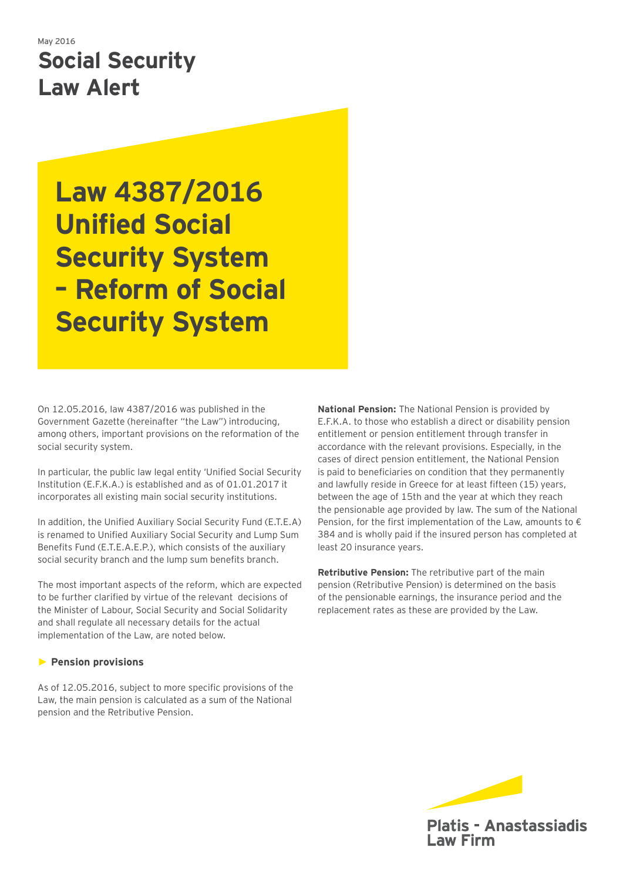# May 2016 **Social Security Law Alert**

# **Law 4387/2016 Unified Social Security System – Reform of Social Security System**

On 12.05.2016, law 4387/2016 was published in the Government Gazette (hereinafter "the Law") introducing, among others, important provisions on the reformation of the social security system.

In particular, the public law legal entity 'Unified Social Security Institution (E.F.K.A.) is established and as of 01.01.2017 it incorporates all existing main social security institutions.

In addition, the Unified Auxiliary Social Security Fund (E.T.E.A) is renamed to Unified Auxiliary Social Security and Lump Sum Benefits Fund (E.T.E.A.E.P.), which consists of the auxiliary social security branch and the lump sum benefits branch.

Τhe most important aspects of the reform, which are expected to be further clarified by virtue of the relevant decisions of the Minister of Labour, Social Security and Social Solidarity and shall regulate all necessary details for the actual implementation of the Law, are noted below.

# ► **Pension provisions**

As of 12.05.2016, subject to more specific provisions of the Law, the main pension is calculated as a sum of the Νational pension and the Retributive Pension.

**National Pension:** The National Pension is provided by E.F.K.A. to those who establish a direct or disability pension entitlement or pension entitlement through transfer in accordance with the relevant provisions. Especially, in the cases of direct pension entitlement, the National Pension is paid to beneficiaries on condition that they permanently and lawfully reside in Greece for at least fifteen (15) years, between the age of 15th and the year at which they reach the pensionable age provided by law. The sum of the National Pension, for the first implementation of the Law, amounts to  $\epsilon$ 384 and is wholly paid if the insured person has completed at least 20 insurance years.

**Retributive Pension:** The retributive part of the main pension (Retributive Pension) is determined on the basis of the pensionable earnings, the insurance period and the replacement rates as these are provided by the Law.

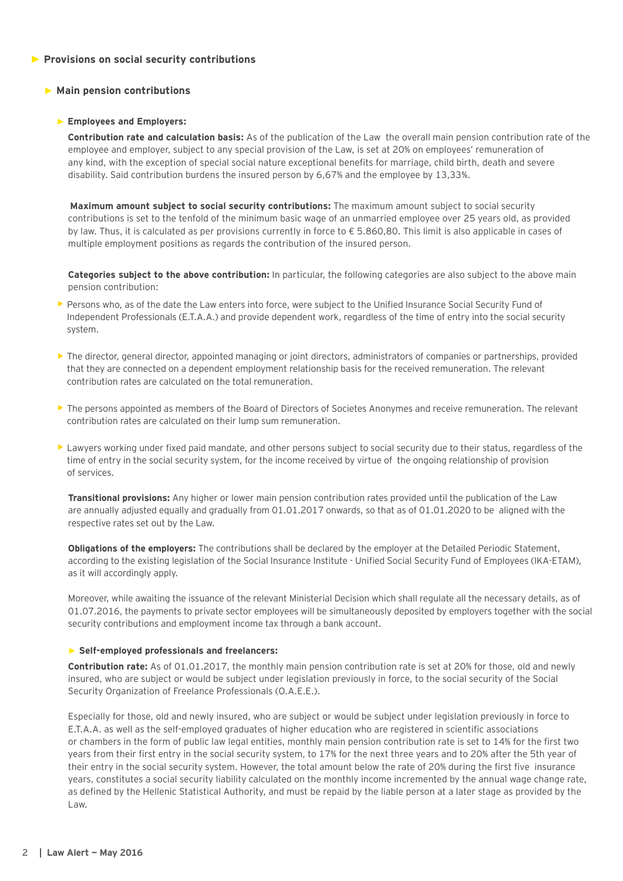# ► **Provisions on social security contributions**

# ► **Main pension contributions**

# ► **Employees and Employers:**

 **Contribution rate and calculation basis:** As of the publication of the Law the overall main pension contribution rate of the employee and employer, subject to any special provision of the Law, is set at 20% on employees' remuneration of any kind, with the exception of special social nature exceptional benefits for marriage, child birth, death and severe disability. Said contribution burdens the insured person by 6,67% and the employee by 13,33%.

**Maximum amount subject to social security contributions:** The maximum amount subject to social security contributions is set to the tenfold of the minimum basic wage of an unmarried employee over 25 years old, as provided by law. Thus, it is calculated as per provisions currently in force to € 5.860,80. This limit is also applicable in cases of multiple employment positions as regards the contribution of the insured person.

**Categories subject to the above contribution:** In particular, the following categories are also subject to the above main pension contribution:

- ▶ Persons who, as of the date the Law enters into force, were subject to the Unified Insurance Social Security Fund of Independent Professionals (E.T.A.A.) and provide dependent work, regardless of the time of entry into the social security system.
- **•** The director, general director, appointed managing or joint directors, administrators of companies or partnerships, provided that they are connected on a dependent employment relationship basis for the received remuneration. The relevant contribution rates are calculated on the total remuneration.
- **•** The persons appointed as members of the Board of Directors of Societes Anonymes and receive remuneration. The relevant contribution rates are calculated on their lump sum remuneration.
- **•** Lawyers working under fixed paid mandate, and other persons subject to social security due to their status, regardless of the time of entry in the social security system, for the income received by virtue of the ongoing relationship of provision of services.

**Transitional provisions:** Any higher or lower main pension contribution rates provided until the publication of the Law are annually adjusted equally and gradually from 01.01.2017 onwards, so that as of 01.01.2020 to be aligned with the respective rates set out by the Law.

**Obligations of the employers:** The contributions shall be declared by the employer at the Detailed Periodic Statement, according to the existing legislation of the Social Insurance Institute - Unified Social Security Fund of Employees (IKA-ETAM), as it will accordingly apply.

Moreover, while awaiting the issuance of the relevant Ministerial Decision which shall regulate all the necessary details, as of 01.07.2016, the payments to private sector employees will be simultaneously deposited by employers together with the social security contributions and employment income tax through a bank account.

# ► **Self-employed professionals and freelancers:**

**Contribution rate:** As of 01.01.2017, the monthly main pension contribution rate is set at 20% for those, old and newly insured, who are subject or would be subject under legislation previously in force, to the social security of the Social Security Organization of Freelance Professionals (O.A.E.E.).

Especially for those, old and newly insured, who are subject or would be subject under legislation previously in force to E.T.A.A. as well as the self-employed graduates of higher education who are registered in scientific associations or chambers in the form of public law legal entities, monthly main pension contribution rate is set to 14% for the first two years from their first entry in the social security system, to 17% for the next three years and to 20% after the 5th year of their entry in the social security system. However, the total amount below the rate of 20% during the first five insurance years, constitutes a social security liability calculated on the monthly income incremented by the annual wage change rate, as defined by the Hellenic Statistical Authority, and must be repaid by the liable person at a later stage as provided by the Law.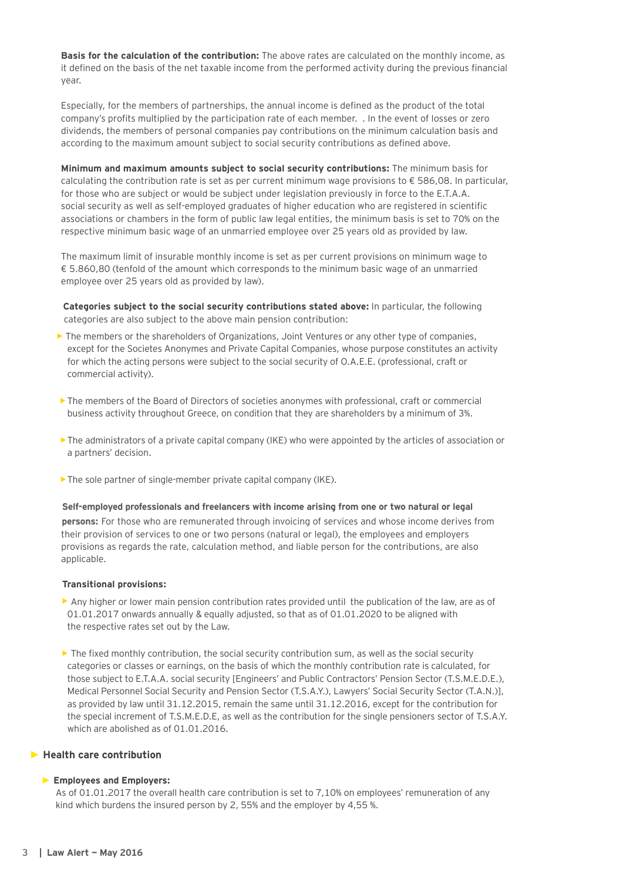**Basis for the calculation of the contribution:** The above rates are calculated on the monthly income, as it defined on the basis of the net taxable income from the performed activity during the previous financial year.

Especially, for the members of partnerships, the annual income is defined as the product of the total company's profits multiplied by the participation rate of each member. . In the event of losses or zero dividends, the members of personal companies pay contributions on the minimum calculation basis and according to the maximum amount subject to social security contributions as defined above.

**Minimum and maximum amounts subject to social security contributions:** The minimum basis for calculating the contribution rate is set as per current minimum wage provisions to € 586,08. In particular, for those who are subject or would be subject under legislation previously in force to the E.T.A.A. social security as well as self-employed graduates of higher education who are registered in scientific associations or chambers in the form of public law legal entities, the minimum basis is set to 70% on the respective minimum basic wage of an unmarried employee over 25 years old as provided by law.

The maximum limit of insurable monthly income is set as per current provisions on minimum wage to € 5.860,80 (tenfold of the amount which corresponds to the minimum basic wage of an unmarried employee over 25 years old as provided by law).

**Categories subject to the social security contributions stated above:** In particular, the following categories are also subject to the above main pension contribution:

- The members or the shareholders of Organizations, Joint Ventures or any other type of companies, except for the Societes Anonymes and Private Capital Companies, whose purpose constitutes an activity for which the acting persons were subject to the social security of O.A.E.E. (professional, craft or commercial activity).
- **•** The members of the Board of Directors of societies anonymes with professional, craft or commercial business activity throughout Greece, on condition that they are shareholders by a minimum of 3%.
- **•**The administrators of a private capital company (IKE) who were appointed by the articles of association or a partners' decision.
- **•**The sole partner of single-member private capital company (IKE).

#### **Self-employed professionals and freelancers with income arising from one or two natural or legal**

 **persons:** For those who are remunerated through invoicing of services and whose income derives from their provision of services to one or two persons (natural or legal), the employees and employers provisions as regards the rate, calculation method, and liable person for the contributions, are also applicable.

#### **Transitional provisions:**

- Any higher or lower main pension contribution rates provided until the publication of the law, are as of 01.01.2017 onwards annually & equally adjusted, so that as of 01.01.2020 to be aligned with the respective rates set out by the Law.
- The fixed monthly contribution, the social security contribution sum, as well as the social security categories or classes or earnings, on the basis of which the monthly contribution rate is calculated, for those subject to E.T.A.A. social security [Engineers' and Public Contractors' Pension Sector (T.S.M.E.D.E.), Medical Personnel Social Security and Pension Sector (T.S.A.Y.), Lawyers' Social Security Sector (T.A.N.)], as provided by law until 31.12.2015, remain the same until 31.12.2016, except for the contribution for the special increment of T.S.M.E.D.E, as well as the contribution for the single pensioners sector of T.S.A.Y. which are abolished as of 01.01.2016.

#### ► **Health care contribution**

#### ► **Employees and Employers:**

 As of 01.01.2017 the overall health care contribution is set to 7,10% on employees' remuneration of any kind which burdens the insured person by 2, 55% and the employer by 4,55 %.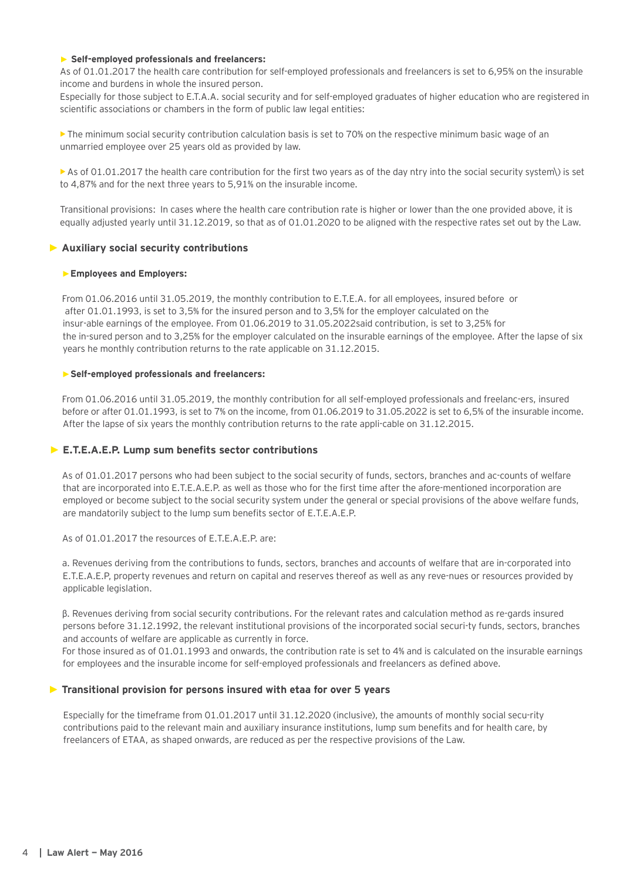#### ► **Self-employed professionals and freelancers:**

As of 01.01.2017 the health care contribution for self-employed professionals and freelancers is set to 6,95% on the insurable income and burdens in whole the insured person.

Especially for those subject to E.T.A.A. social security and for self-employed graduates of higher education who are registered in scientific associations or chambers in the form of public law legal entities:

**•** The minimum social security contribution calculation basis is set to 70% on the respective minimum basic wage of an unmarried employee over 25 years old as provided by law.

**•**As of 01.01.2017 the health care contribution for the first two years as of the day ntry into the social security system\) is set to 4,87% and for the next three years to 5,91% on the insurable income.

Transitional provisions: In cases where the health care contribution rate is higher or lower than the one provided above, it is equally adjusted yearly until 31.12.2019, so that as of 01.01.2020 to be aligned with the respective rates set out by the Law.

# ► **Auxiliary social security contributions**

#### ►**Employees and Employers:**

From 01.06.2016 until 31.05.2019, the monthly contribution to Ε.Τ.Ε.Α. for all employees, insured before or after 01.01.1993, is set to 3,5% for the insured person and to 3,5% for the employer calculated on the insur-able earnings of the employee. From 01.06.2019 to 31.05.2022said contribution, is set to 3,25% for the in-sured person and to 3,25% for the employer calculated on the insurable earnings of the employee. After the lapse of six years he monthly contribution returns to the rate applicable on 31.12.2015.

#### ►**Self-employed professionals and freelancers:**

From 01.06.2016 until 31.05.2019, the monthly contribution for all self-employed professionals and freelanc-ers, insured before or after 01.01.1993, is set to 7% on the income, from 01.06.2019 to 31.05.2022 is set to 6,5% of the insurable income. After the lapse of six years the monthly contribution returns to the rate appli-cable on 31.12.2015.

# ► **Ε.Τ.Ε.Α.Ε.P. Lump sum benefits sector contributions**

As of 01.01.2017 persons who had been subject to the social security of funds, sectors, branches and ac-counts of welfare that are incorporated into Ε.Τ.Ε.Α.Ε.P. as well as those who for the first time after the afore-mentioned incorporation are employed or become subject to the social security system under the general or special provisions of the above welfare funds, are mandatorily subject to the lump sum benefits sector of Ε.Τ.Ε.Α.Ε.P.

As of 01.01.2017 the resources of Ε.Τ.Ε.Α.Ε.P. are:

a. Revenues deriving from the contributions to funds, sectors, branches and accounts of welfare that are in-corporated into Ε.Τ.Ε.Α.Ε.P, property revenues and return on capital and reserves thereof as well as any reve-nues or resources provided by applicable legislation.

β. Revenues deriving from social security contributions. For the relevant rates and calculation method as re-gards insured persons before 31.12.1992, the relevant institutional provisions of the incorporated social securi-ty funds, sectors, branches and accounts of welfare are applicable as currently in force.

For those insured as of 01.01.1993 and onwards, the contribution rate is set to 4% and is calculated on the insurable earnings for employees and the insurable income for self-employed professionals and freelancers as defined above.

# ► **Transitional provision for persons insured with etaa for over 5 years**

Especially for the timeframe from 01.01.2017 until 31.12.2020 (inclusive), the amounts of monthly social secu-rity contributions paid to the relevant main and auxiliary insurance institutions, lump sum benefits and for health care, by freelancers of ETAA, as shaped onwards, are reduced as per the respective provisions of the Law.